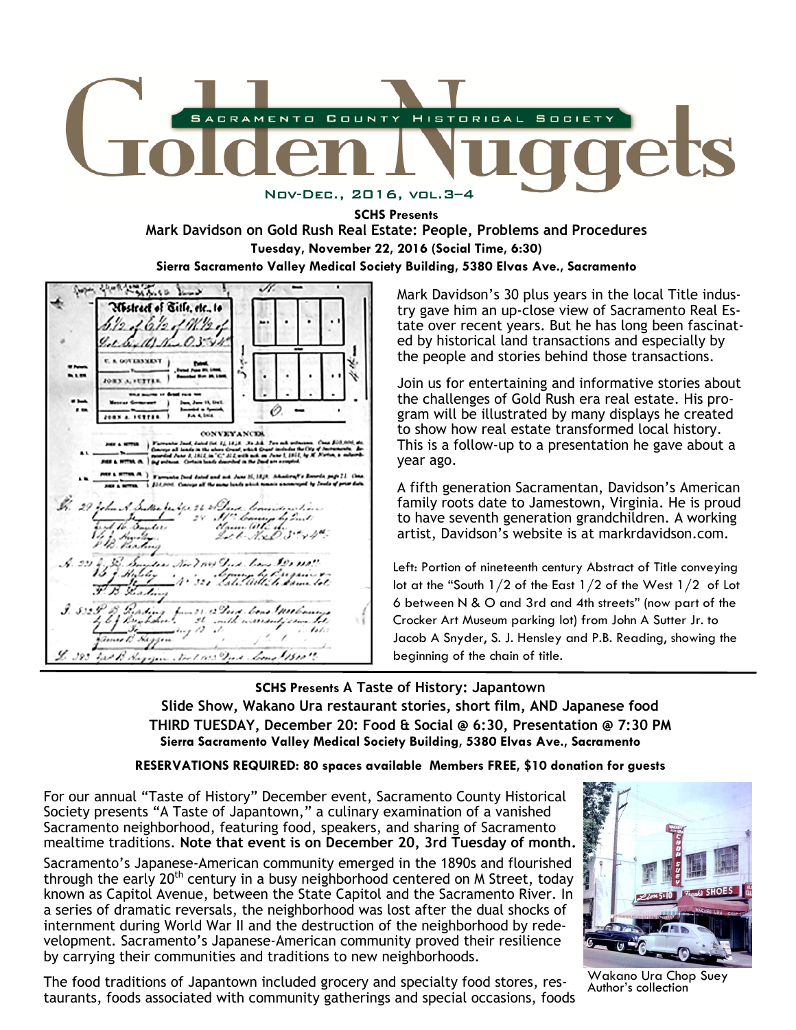

**SCHS Presents Mark Davidson on Gold Rush Real Estate: People, Problems and Procedures Tuesday, November 22, 2016 (Social Time, 6:30) Sierra Sacramento Valley Medical Society Building, 5380 Elvas Ave., Sacramento** 

age, short manie low Westract of Bitle, etc., to  $16/2 /9/12.$  $1.6.111...0.3544$ **E. A GOVERNMENT** ... ORX A. FUTTER O.  $74.4$  km  $P(0X)$  . Ferric **CONVEYANCES** ad del 21 1418, 35 36. Ta<br>Ny alam-drand adala Grand  $C^*ML$  $-11011$  $m$ ,  $m$ ,  $\lambda$ Bl. 29 John A. Sullie Judge 26 in Dave County Il Coming by Quili Sander .t tr Let N.x.D. Styl Sunder Nov ? Not Que Low \$20 110! Course by Bragan & Frading Prading from 21. 2 Port Come Anthony fuur 23 Austi bene 1911<br>1 - 24 - indh-overranty<br>1 - 12 - 15 - 15 - 15 - 15 - 15 - 15 - 31  $\mathcal{L}(\mathcal{L})$ tomas B. Heggan 6. 383 Gal B. Hagyan Nort 183 Dad. Come 1500 ".

Mark Davidson's 30 plus years in the local Title industry gave him an up-close view of Sacramento Real Estate over recent years. But he has long been fascinated by historical land transactions and especially by the people and stories behind those transactions.

Join us for entertaining and informative stories about the challenges of Gold Rush era real estate. His program will be illustrated by many displays he created to show how real estate transformed local history. This is a follow-up to a presentation he gave about a year ago.

A fifth generation Sacramentan, Davidson's American family roots date to Jamestown, Virginia. He is proud to have seventh generation grandchildren. A working artist, Davidson's website is at markrdavidson.com.

Left: Portion of nineteenth century Abstract of Title conveying lot at the "South 1/2 of the East 1/2 of the West 1/2 of Lot 6 between N & O and 3rd and 4th streets" (now part of the Crocker Art Museum parking lot) from John A Sutter Jr. to Jacob A Snyder, S. J. Hensley and P.B. Reading, showing the beginning of the chain of title.

**SCHS Presents A Taste of History: Japantown Slide Show, Wakano Ura restaurant stories, short film, AND Japanese food THIRD TUESDAY, December 20: Food & Social @ 6:30, Presentation @ 7:30 PM Sierra Sacramento Valley Medical Society Building, 5380 Elvas Ave., Sacramento**

#### **RESERVATIONS REQUIRED: 80 spaces available Members FREE, \$10 donation for guests**

For our annual "Taste of History" December event, Sacramento County Historical Society presents "A Taste of Japantown," a culinary examination of a vanished Sacramento neighborhood, featuring food, speakers, and sharing of Sacramento mealtime traditions. **Note that event is on December 20, 3rd Tuesday of month.**

Sacramento's Japanese-American community emerged in the 1890s and flourished through the early 20<sup>th</sup> century in a busy neighborhood centered on M Street, today known as Capitol Avenue, between the State Capitol and the Sacramento River. In a series of dramatic reversals, the neighborhood was lost after the dual shocks of internment during World War II and the destruction of the neighborhood by redevelopment. Sacramento's Japanese-American community proved their resilience by carrying their communities and traditions to new neighborhoods.

 taurants, foods associated with community gatherings and special occasions, foods The food traditions of Japantown included grocery and specialty food stores, res-



Wakano Ura Chop Suey Author's collection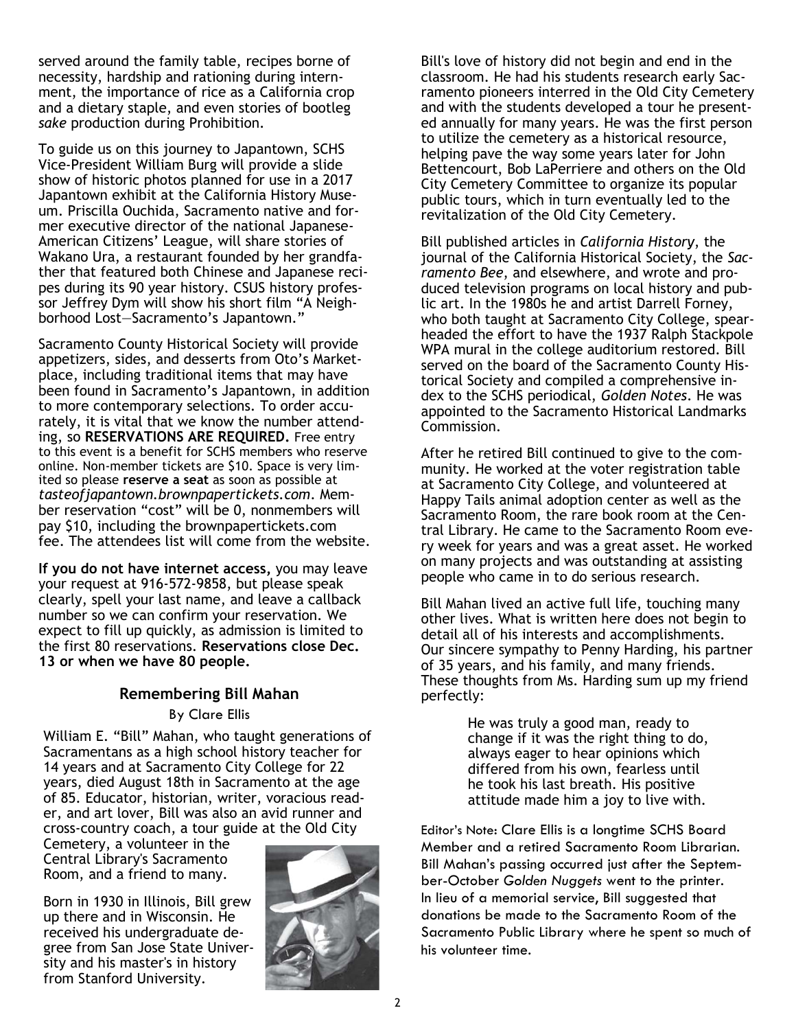served around the family table, recipes borne of necessity, hardship and rationing during internment, the importance of rice as a California crop and a dietary staple, and even stories of bootleg *sake* production during Prohibition.

To guide us on this journey to Japantown, SCHS Vice-President William Burg will provide a slide show of historic photos planned for use in a 2017 Japantown exhibit at the California History Museum. Priscilla Ouchida, Sacramento native and former executive director of the national Japanese-American Citizens' League, will share stories of Wakano Ura, a restaurant founded by her grandfather that featured both Chinese and Japanese recipes during its 90 year history. CSUS history professor Jeffrey Dym will show his short film "A Neighborhood Lost—Sacramento's Japantown."

Sacramento County Historical Society will provide appetizers, sides, and desserts from Oto's Marketplace, including traditional items that may have been found in Sacramento's Japantown, in addition to more contemporary selections. To order accurately, it is vital that we know the number attending, so **RESERVATIONS ARE REQUIRED.** Free entry to this event is a benefit for SCHS members who reserve online. Non-member tickets are \$10. Space is very limited so please **reserve a seat** as soon as possible at *tasteofjapantown.brownpapertickets.com*. Member reservation "cost" will be 0, nonmembers will pay \$10, including the brownpapertickets.com fee. The attendees list will come from the website.

**If you do not have internet access,** you may leave your request at 916-572-9858, but please speak clearly, spell your last name, and leave a callback number so we can confirm your reservation. We expect to fill up quickly, as admission is limited to the first 80 reservations. **Reservations close Dec. 13 or when we have 80 people.** 

### **Remembering Bill Mahan**

By Clare Ellis

William E. "Bill" Mahan, who taught generations of Sacramentans as a high school history teacher for 14 years and at Sacramento City College for 22 years, died August 18th in Sacramento at the age of 85. Educator, historian, writer, voracious reader, and art lover, Bill was also an avid runner and cross-country coach, a tour guide at the Old City

Cemetery, a volunteer in the Central Library's Sacramento Room, and a friend to many.

Born in 1930 in Illinois, Bill grew up there and in Wisconsin. He received his undergraduate degree from San Jose State University and his master's in history from Stanford University.



Bill's love of history did not begin and end in the classroom. He had his students research early Sacramento pioneers interred in the Old City Cemetery and with the students developed a tour he presented annually for many years. He was the first person to utilize the cemetery as a historical resource, helping pave the way some years later for John Bettencourt, Bob LaPerriere and others on the Old City Cemetery Committee to organize its popular public tours, which in turn eventually led to the revitalization of the Old City Cemetery.

Bill published articles in *California History*, the journal of the California Historical Society, the *Sacramento Bee*, and elsewhere, and wrote and produced television programs on local history and public art. In the 1980s he and artist Darrell Forney, who both taught at Sacramento City College, spearheaded the effort to have the 1937 Ralph Stackpole WPA mural in the college auditorium restored. Bill served on the board of the Sacramento County Historical Society and compiled a comprehensive index to the SCHS periodical, *Golden Notes*. He was appointed to the Sacramento Historical Landmarks Commission.

After he retired Bill continued to give to the community. He worked at the voter registration table at Sacramento City College, and volunteered at Happy Tails animal adoption center as well as the Sacramento Room, the rare book room at the Central Library. He came to the Sacramento Room every week for years and was a great asset. He worked on many projects and was outstanding at assisting people who came in to do serious research.

Bill Mahan lived an active full life, touching many other lives. What is written here does not begin to detail all of his interests and accomplishments. Our sincere sympathy to Penny Harding, his partner of 35 years, and his family, and many friends. These thoughts from Ms. Harding sum up my friend perfectly:

> He was truly a good man, ready to change if it was the right thing to do, always eager to hear opinions which differed from his own, fearless until he took his last breath. His positive attitude made him a joy to live with.

Editor's Note: Clare Ellis is a longtime SCHS Board Member and a retired Sacramento Room Librarian. Bill Mahan's passing occurred just after the September-October *Golden Nuggets* went to the printer. In lieu of a memorial service, Bill suggested that donations be made to the Sacramento Room of the Sacramento Public Library where he spent so much of his volunteer time.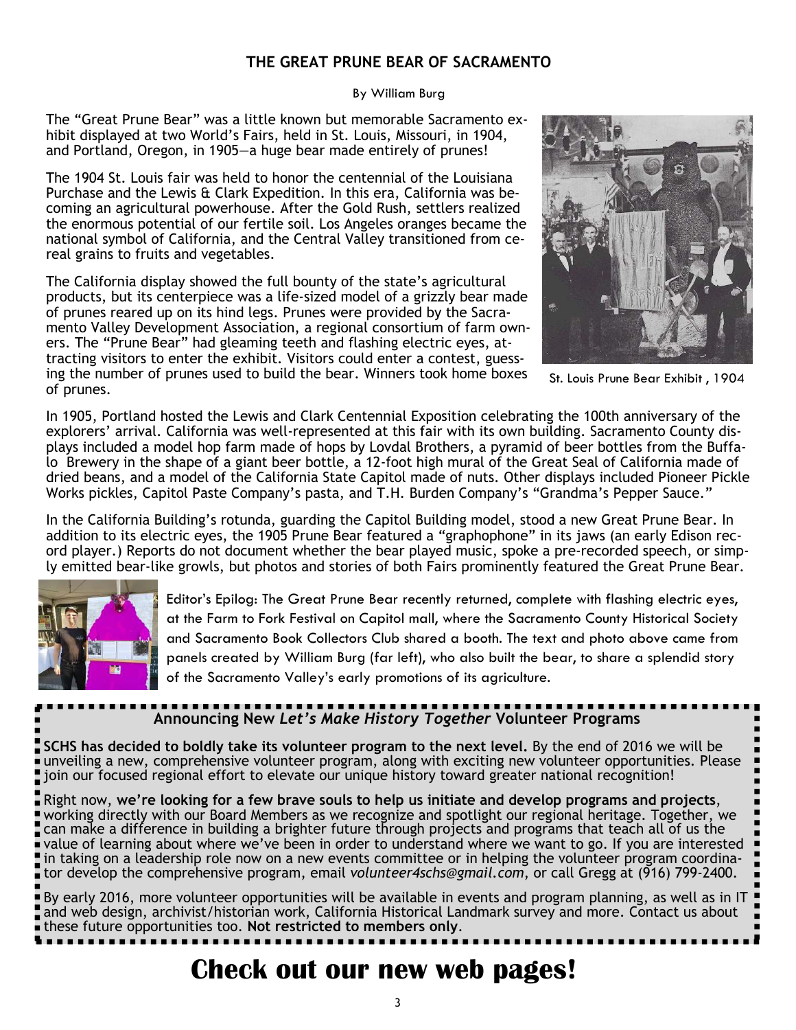### **THE GREAT PRUNE BEAR OF SACRAMENTO**

By William Burg

The "Great Prune Bear" was a little known but memorable Sacramento exhibit displayed at two World's Fairs, held in St. Louis, Missouri, in 1904, and Portland, Oregon, in 1905—a huge bear made entirely of prunes!

The 1904 St. Louis fair was held to honor the centennial of the Louisiana Purchase and the Lewis & Clark Expedition. In this era, California was becoming an agricultural powerhouse. After the Gold Rush, settlers realized the enormous potential of our fertile soil. Los Angeles oranges became the national symbol of California, and the Central Valley transitioned from cereal grains to fruits and vegetables.

The California display showed the full bounty of the state's agricultural products, but its centerpiece was a life-sized model of a grizzly bear made of prunes reared up on its hind legs. Prunes were provided by the Sacramento Valley Development Association, a regional consortium of farm owners. The "Prune Bear" had gleaming teeth and flashing electric eyes, attracting visitors to enter the exhibit. Visitors could enter a contest, guessing the number of prunes used to build the bear. Winners took home boxes of prunes.



St. Louis Prune Bear Exhibit , 1904

In 1905, Portland hosted the Lewis and Clark Centennial Exposition celebrating the 100th anniversary of the explorers' arrival. California was well-represented at this fair with its own building. Sacramento County displays included a model hop farm made of hops by Lovdal Brothers, a pyramid of beer bottles from the Buffalo Brewery in the shape of a giant beer bottle, a 12-foot high mural of the Great Seal of California made of dried beans, and a model of the California State Capitol made of nuts. Other displays included Pioneer Pickle Works pickles, Capitol Paste Company's pasta, and T.H. Burden Company's "Grandma's Pepper Sauce."

In the California Building's rotunda, guarding the Capitol Building model, stood a new Great Prune Bear. In addition to its electric eyes, the 1905 Prune Bear featured a "graphophone" in its jaws (an early Edison record player.) Reports do not document whether the bear played music, spoke a pre-recorded speech, or simply emitted bear-like growls, but photos and stories of both Fairs prominently featured the Great Prune Bear.



Editor's Epilog: The Great Prune Bear recently returned, complete with flashing electric eyes, at the Farm to Fork Festival on Capitol mall, where the Sacramento County Historical Society and Sacramento Book Collectors Club shared a booth. The text and photo above came from panels created by William Burg (far left), who also built the bear, to share a splendid story of the Sacramento Valley's early promotions of its agriculture.

## **Announcing New** *Let's Make History Together* **Volunteer Programs**

**SCHS has decided to boldly take its volunteer program to the next level.** By the end of 2016 we will be unveiling a new, comprehensive volunteer program, along with exciting new volunteer opportunities. Please join our focused regional effort to elevate our unique history toward greater national recognition!

Right now, **we're looking for a few brave souls to help us initiate and develop programs and projects**, working directly with our Board Members as we recognize and spotlight our regional heritage. Together, we can make a difference in building a brighter future through projects and programs that teach all of us the value of learning about where we've been in order to understand where we want to go. If you are interested in taking on a leadership role now on a new events committee or in helping the volunteer program coordinator develop the comprehensive program, email *volunteer4schs@gmail.com*, or call Gregg at (916) 799-2400.

By early 2016, more volunteer opportunities will be available in events and program planning, as well as in IT and web design, archivist/historian work, California Historical Landmark survey and more. Contact us about these future opportunities too. **Not restricted to members only**.

### **Check out our new web pages!**